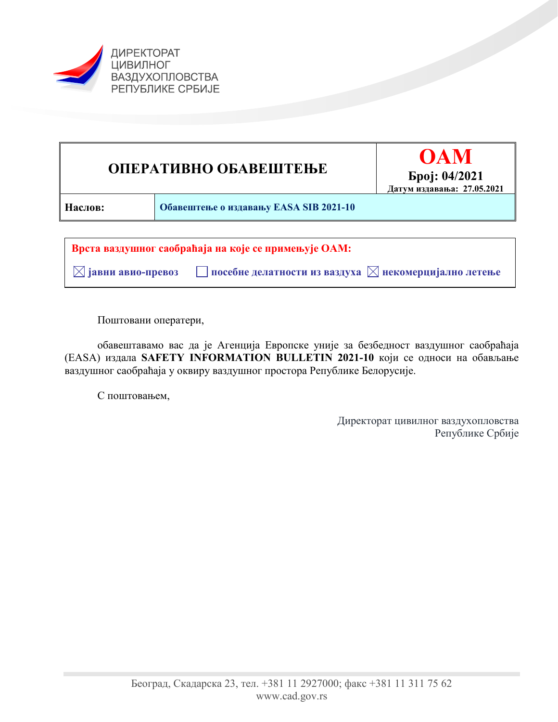



 **јавни авио-превоз посебне делатности из ваздуха некомерцијално летење** 

Поштовани оператери,

обавештавамо вас да је Агенција Европске уније за безбедност ваздушног саобраћаја (EASA) издала **SAFETY INFORMATION BULLETIN 2021-10** који се односи на обављање ваздушног саобраћаја у оквиру ваздушног простора Републике Белорусије.

С поштовањем,

Директорат цивилног ваздухопловства Републике Србије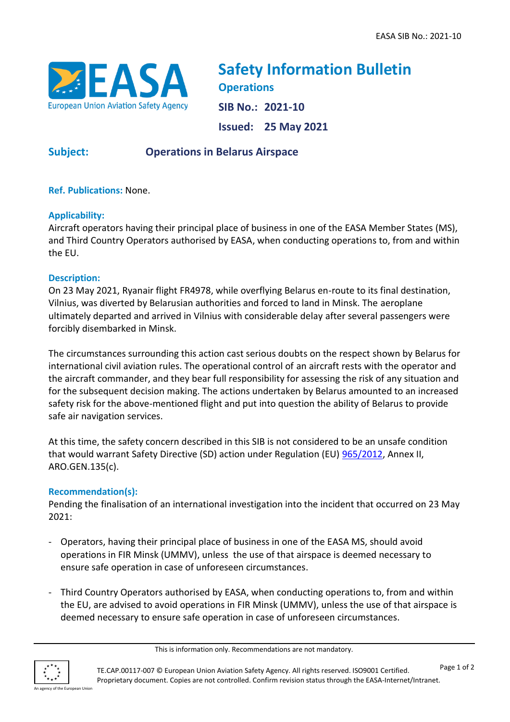

**Safety Information Bulletin Operations SIB No.: 2021-10 Issued: 25 May 2021**

# **Subject: Operations in Belarus Airspace**

**Ref. Publications:** None.

#### **Applicability:**

Aircraft operators having their principal place of business in one of the EASA Member States (MS), and Third Country Operators authorised by EASA, when conducting operations to, from and within the EU.

#### **Description:**

On 23 May 2021, Ryanair flight FR4978, while overflying Belarus en-route to its final destination, Vilnius, was diverted by Belarusian authorities and forced to land in Minsk. The aeroplane ultimately departed and arrived in Vilnius with considerable delay after several passengers were forcibly disembarked in Minsk.

The circumstances surrounding this action cast serious doubts on the respect shown by Belarus for international civil aviation rules. The operational control of an aircraft rests with the operator and the aircraft commander, and they bear full responsibility for assessing the risk of any situation and for the subsequent decision making. The actions undertaken by Belarus amounted to an increased safety risk for the above-mentioned flight and put into question the ability of Belarus to provide safe air navigation services.

At this time, the safety concern described in this SIB is not considered to be an unsafe condition that would warrant Safety Directive (SD) action under Regulation (EU) [965/2012,](https://eur-lex.europa.eu/LexUriServ/LexUriServ.do?uri=OJ:L:2012:296:0001:0148:EN:PDF) Annex II, ARO.GEN.135(c).

### **Recommendation(s):**

Pending the finalisation of an international investigation into the incident that occurred on 23 May 2021:

- Operators, having their principal place of business in one of the EASA MS, should avoid operations in FIR Minsk (UMMV), unless the use of that airspace is deemed necessary to ensure safe operation in case of unforeseen circumstances.
- Third Country Operators authorised by EASA, when conducting operations to, from and within the EU, are advised to avoid operations in FIR Minsk (UMMV), unless the use of that airspace is deemed necessary to ensure safe operation in case of unforeseen circumstances.